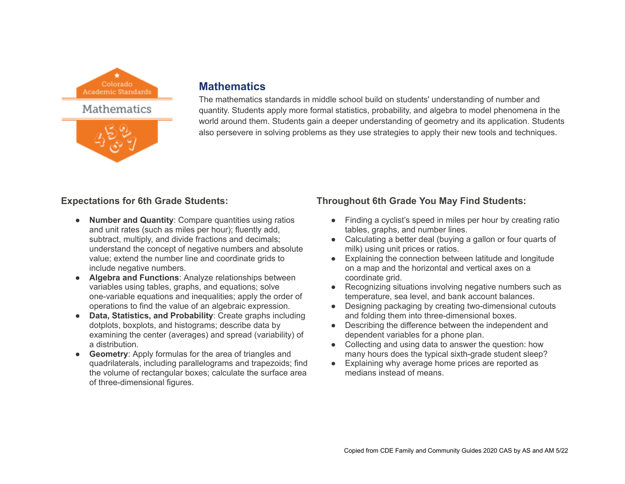

Mathematics



# **Mathematics**

The mathematics standards in middle school build on students' understanding of number and quantity. Students apply more formal statistics, probability, and algebra to model phenomena in the world around them. Students gain a deeper understanding of geometry and its application. Students also persevere in solving problems as they use strategies to apply their new tools and techniques.

## **Expectations for 6th Grade Students:**

- **Number and Quantity**: Compare quantities using ratios and unit rates (such as miles per hour); fluently add, subtract, multiply, and divide fractions and decimals; understand the concept of negative numbers and absolute value; extend the number line and coordinate grids to include negative numbers.
- Algebra and Functions: Analyze relationships between variables using tables, graphs, and equations; solve one-variable equations and inequalities; apply the order of operations to find the value of an algebraic expression.
- **Data, Statistics, and Probability: Create graphs including** dotplots, boxplots, and histograms; describe data by examining the center (averages) and spread (variability) of a distribution.
- **Geometry**: Apply formulas for the area of triangles and quadrilaterals, including parallelograms and trapezoids; find the volume of rectangular boxes; calculate the surface area of three-dimensional figures.

### **Throughout 6th Grade You May Find Students:**

- Finding a cyclist's speed in miles per hour by creating ratio tables, graphs, and number lines.
- Calculating a better deal (buying a gallon or four quarts of milk) using unit prices or ratios.
- Explaining the connection between latitude and longitude on a map and the horizontal and vertical axes on a coordinate grid.
- Recognizing situations involving negative numbers such as temperature, sea level, and bank account balances.
- Designing packaging by creating two-dimensional cutouts and folding them into three-dimensional boxes.
- Describing the difference between the independent and dependent variables for a phone plan.
- Collecting and using data to answer the question: how many hours does the typical sixth-grade student sleep?
- Explaining why average home prices are reported as medians instead of means.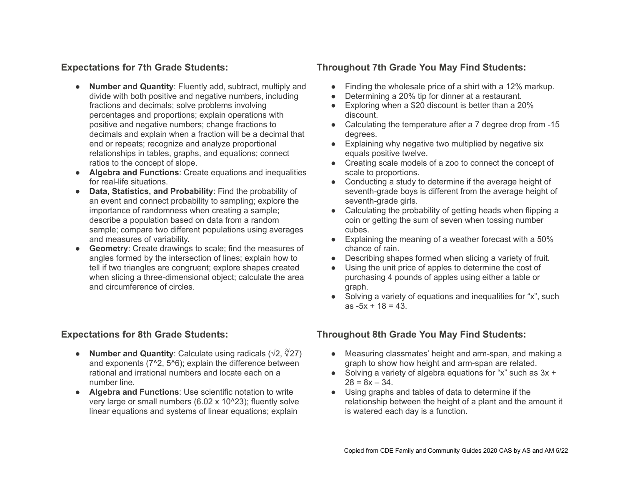#### **Expectations for 7th Grade Students:**

- **Number and Quantity**: Fluently add, subtract, multiply and divide with both positive and negative numbers, including fractions and decimals; solve problems involving percentages and proportions; explain operations with positive and negative numbers; change fractions to decimals and explain when a fraction will be a decimal that end or repeats; recognize and analyze proportional relationships in tables, graphs, and equations; connect ratios to the concept of slope.
- **Algebra and Functions**: Create equations and inequalities for real-life situations.
- **Data, Statistics, and Probability**: Find the probability of an event and connect probability to sampling; explore the importance of randomness when creating a sample; describe a population based on data from a random sample; compare two different populations using averages and measures of variability.
- **Geometry**: Create drawings to scale; find the measures of angles formed by the intersection of lines; explain how to tell if two triangles are congruent; explore shapes created when slicing a three-dimensional object; calculate the area and circumference of circles.

#### **Expectations for 8th Grade Students:**

- **Number and Quantity**: Calculate using radicals (√2, ∛27) and exponents (7^2, 5^6); explain the difference between rational and irrational numbers and locate each on a number line.
- **Algebra and Functions**: Use scientific notation to write very large or small numbers (6.02 x 10^23); fluently solve linear equations and systems of linear equations; explain

#### **Throughout 7th Grade You May Find Students:**

- Finding the wholesale price of a shirt with a 12% markup.
- Determining a 20% tip for dinner at a restaurant.
- Exploring when a \$20 discount is better than a 20% discount.
- Calculating the temperature after a 7 degree drop from -15 degrees.
- Explaining why negative two multiplied by negative six equals positive twelve.
- Creating scale models of a zoo to connect the concept of scale to proportions.
- Conducting a study to determine if the average height of seventh-grade boys is different from the average height of seventh-grade girls.
- Calculating the probability of getting heads when flipping a coin or getting the sum of seven when tossing number cubes.
- Explaining the meaning of a weather forecast with a 50% chance of rain.
- Describing shapes formed when slicing a variety of fruit.
- Using the unit price of apples to determine the cost of purchasing 4 pounds of apples using either a table or graph.
- Solving a variety of equations and inequalities for "x", such as -5x + 18 = 43.

## **Throughout 8th Grade You May Find Students:**

- Measuring classmates' height and arm-span, and making a graph to show how height and arm-span are related.
- Solving a variety of algebra equations for "x" such as  $3x +$  $28 = 8x - 34$ .
- Using graphs and tables of data to determine if the relationship between the height of a plant and the amount it is watered each day is a function.